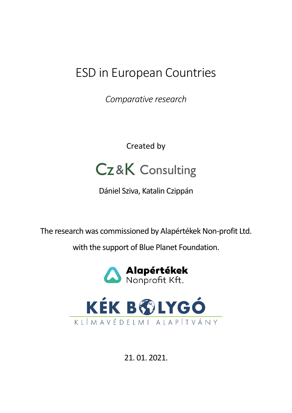# ESD in European Countries

*Comparative research*

Created by



Dániel Sziva, Katalin Czippán

The research was commissioned by Alapértékek Non-profit Ltd.

with the support of Blue Planet Foundation.





21. 01. 2021.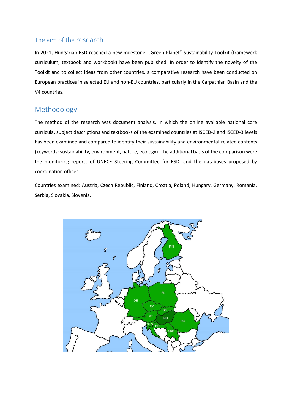## The aim of the research

In 2021, Hungarian ESD reached a new milestone: "Green Planet" Sustainability Toolkit (framework curriculum, textbook and workbook) have been published. In order to identify the novelty of the Toolkit and to collect ideas from other countries, a comparative research have been conducted on European practices in selected EU and non-EU countries, particularly in the Carpathian Basin and the V4 countries.

# Methodology

The method of the research was document analysis, in which the online available national core curricula, subject descriptions and textbooks of the examined countries at ISCED-2 and ISCED-3 levels has been examined and compared to identify their sustainability and environmental-related contents (keywords: sustainability, environment, nature, ecology). The additional basis of the comparison were the monitoring reports of UNECE Steering Committee for ESD, and the databases proposed by coordination offices.

Countries examined: Austria, Czech Republic, Finland, Croatia, Poland, Hungary, Germany, Romania, Serbia, Slovakia, Slovenia.

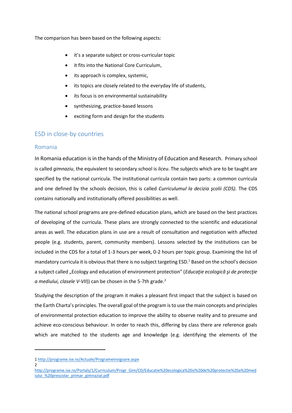The comparison has been based on the following aspects:

- it's a separate subject or cross-curricular topic
- it fits into the National Core Curriculum.
- its approach is complex, systemic,
- its topics are closely related to the everyday life of students,
- its focus is on environmental sustainability
- synthesizing, practice-based lessons
- exciting form and design for the students

## ESD in close-by countries

#### Romania

In Romania education is in the hands of the Ministry of Education and Research. Primary school is called *gimnaziu*, the equivalent to secondary school is *liceu*. The subjects which are to be taught are specified by the national curricula. The institutional curricula contain two parts: a common curricula and one defined by the schools decision, this is called *Curriculumul la decizia şcolii (CDS).* The CDS contains nationally and institutionally offered possibilities as well.

The national school programs are pre-defined education plans, which are based on the best practices of developing of the curricula. These plans are strongly connected to the scientific and educational areas as well. The education plans in use are a result of consultation and negotiation with affected people (e.g. students, parent, community members). Lessons selected by the institutions can be included in the CDS for a total of 1-3 hours per week, 0-2 hours per topic group. Examining the list of mandatory curricula it is obvious that there is no subject targeting ESD.<sup>1</sup> Based on the school's decision a subject called "Ecology and education of environment protection" (*Educaţie ecologică şi de protecţie a mediului, clasele V-VII*)) can be chosen in the 5-7th grade.<sup>2</sup>

Studying the description of the program it makes a pleasant first impact that the subject is based on the Earth Charta's principles. The overall goal of the program is to use the main concepts and principles of environmental protection education to improve the ability to observe reality and to presume and achieve eco-conscious behaviour. In order to reach this, differing by class there are reference goals which are matched to the students age and knowledge (e.g. identifying the elements of the

 $\mathfrak{Z}$ 

<sup>1</sup> <http://programe.ise.ro/Actuale/Programeinvigoare.aspx>

[http://programe.ise.ro/Portals/1/Curriculum/Progr\\_Gim/CD/Educatie%20ecologica%20si%20de%20protectie%20a%20med](http://programe.ise.ro/Portals/1/Curriculum/Progr_Gim/CD/Educatie%20ecologica%20si%20de%20protectie%20a%20mediului_%20prescolar_primar_gimnazial.pdf) [iului\\_%20prescolar\\_primar\\_gimnazial.pdf](http://programe.ise.ro/Portals/1/Curriculum/Progr_Gim/CD/Educatie%20ecologica%20si%20de%20protectie%20a%20mediului_%20prescolar_primar_gimnazial.pdf)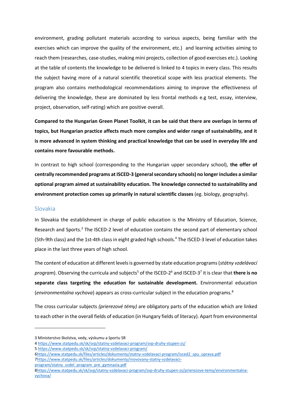environment, grading pollutant materials according to various aspects, being familiar with the exercises which can improve the quality of the environment, etc.) and learning activities aiming to reach them (researches, case-studies, making mini projects, collection of good exercises etc.). Looking at the table of contents the knowledge to be delivered is linked to 4 topics in every class. This results the subject having more of a natural scientific theoretical scope with less practical elements. The program also contains methodological recommendations aiming to improve the effectiveness of delivering the knowledge, these are dominated by less frontal methods e.g test, essay, interview, project, observation, self-rating) which are positive overall.

**Compared to the Hungarian Green Planet Toolkit, it can be said that there are overlaps in terms of topics, but Hungarian practice affects much more complex and wider range of sustainability, and it is more advanced in system thinking and practical knowledge that can be used in everyday life and contains more favourable methods.**

In contrast to high school (corresponding to the Hungarian upper secondary school), **the offer of centrally recommended programs at ISCED-3 (general secondary schools) no longer includes a similar optional program aimed at sustainability education. The knowledge connected to sustainability and environment protection comes up primarily in natural scientific classes** (eg. biology, geography).

#### Slovakia

In Slovakia the establishment in charge of public education is the Ministry of Education, Science, Research and Sports.<sup>3</sup> The ISCED-2 level of education contains the second part of elementary school (5th-9th class) and the 1st-4th class in eight graded high schools.<sup>4</sup> The ISCED-3 level of education takes place in the last three years of high school.

The content of education at different levels is governed by state education programs (*státny vzdelávací*  program). Observing the curricula and subjects<sup>5</sup> of the ISCED-2<sup>6</sup> and ISCED-3<sup>7</sup> it is clear that **there is no separate class targeting the education for sustainable development.** Environmental education (*environmentalna vychova*) appears as cross-curricular subject in the education programs.<sup>8</sup>

The cross curricular subjects *(prierezové témy)* are obligatory parts of the education which are linked to each other in the overall fields of education (in Hungary fields of literacy). Apart from environmental

[program/statny\\_vzdel\\_program\\_pre\\_gymnazia.pdf](https://www.statpedu.sk/files/articles/dokumenty/inovovany-statny-vzdelavaci-program/statny_vzdel_program_pre_gymnazia.pdf)

<sup>3</sup> Ministerstvo školstva, vedy, výskumu a športu SR

<sup>4</sup> <https://www.statpedu.sk/sk/svp/statny-vzdelavaci-program/svp-druhy-stupen-zs/>

<sup>5</sup> <https://www.statpedu.sk/sk/svp/statny-vzdelavaci-program/>

[<sup>6</sup>https://www.statpedu.sk/files/articles/dokumenty/statny-vzdelavaci-program/isced2\\_spu\\_uprava.pdf](https://www.statpedu.sk/files/articles/dokumenty/statny-vzdelavaci-program/isced2_spu_uprava.pdf) [7https://www.statpedu.sk/files/articles/dokumenty/inovovany-statny-vzdelavaci-](https://www.statpedu.sk/files/articles/dokumenty/inovovany-statny-vzdelavaci-program/statny_vzdel_program_pre_gymnazia.pdf)

[<sup>8</sup>https://www.statpedu.sk/sk/svp/statny-vzdelavaci-program/svp-druhy-stupen-zs/prierezove-temy/environmentalna](https://www.statpedu.sk/sk/svp/statny-vzdelavaci-program/svp-druhy-stupen-zs/prierezove-temy/environmentalna-vychova/)[vychova/](https://www.statpedu.sk/sk/svp/statny-vzdelavaci-program/svp-druhy-stupen-zs/prierezove-temy/environmentalna-vychova/)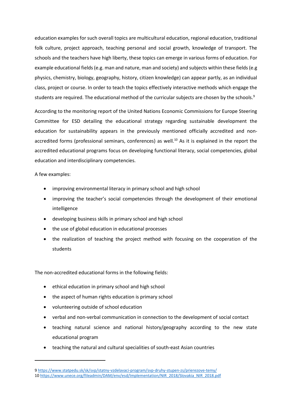education examples for such overall topics are multicultural education, regional education, traditional folk culture, project approach, teaching personal and social growth, knowledge of transport. The schools and the teachers have high liberty, these topics can emerge in various forms of education. For example educational fields (e.g. man and nature, man and society) and subjects within these fields (e.g physics, chemistry, biology, geography, history, citizen knowledge) can appear partly, as an individual class, project or course. In order to teach the topics effectively interactive methods which engage the students are required. The educational method of the curricular subjects are chosen by the schools.<sup>9</sup>

According to the monitoring report of the United Nations Economic Commissions for Europe Steering Committee for ESD detailing the educational strategy regarding sustainable development the education for sustainability appears in the previously mentioned officially accredited and nonaccredited forms (professional seminars, conferences) as well.<sup>10</sup> As it is explained in the report the accredited educational programs focus on developing functional literacy, social competencies, global education and interdisciplinary competencies.

A few examples:

- improving environmental literacy in primary school and high school
- improving the teacher's social competencies through the development of their emotional intelligence
- developing business skills in primary school and high school
- the use of global education in educational processes
- the realization of teaching the project method with focusing on the cooperation of the students

The non-accredited educational forms in the following fields:

- ethical education in primary school and high school
- the aspect of human rights education is primary school
- volunteering outside of school education
- verbal and non-verbal communication in connection to the development of social contact
- teaching natural science and national history/geography according to the new state educational program
- teaching the natural and cultural specialities of south-east Asian countries

<sup>9</sup> <https://www.statpedu.sk/sk/svp/statny-vzdelavaci-program/svp-druhy-stupen-zs/prierezove-temy/> 10 [https://www.unece.org/fileadmin/DAM/env/esd/Implementation/NIR\\_2018/Slovakia\\_NIR\\_2018.pdf](https://www.unece.org/fileadmin/DAM/env/esd/Implementation/NIR_2018/Slovakia_NIR_2018.pdf)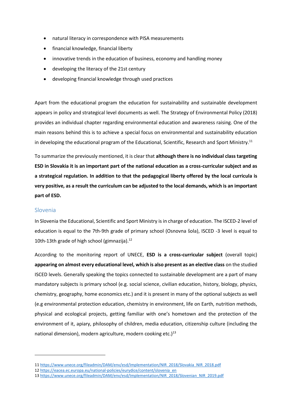- natural literacy in correspondence with PISA measurements
- financial knowledge, financial liberty
- innovative trends in the education of business, economy and handling money
- developing the literacy of the 21st century
- developing financial knowledge through used practices

Apart from the educational program the education for sustainability and sustainable development appears in policy and strategical level documents as well. The Strategy of Environmental Policy (2018) provides an individual chapter regarding environmental education and awareness raising. One of the main reasons behind this is to achieve a special focus on environmental and sustainability education in developing the educational program of the Educational, Scientific, Research and Sport Ministry.<sup>11</sup>

To summarize the previously mentioned, it is clear that **although there is no individual class targeting ESD in Slovakia it is an important part of the national education as a cross-curricular subject and as a strategical regulation. In addition to that the pedagogical liberty offered by the local curricula is very positive, as a result the curriculum can be adjusted to the local demands, which is an important part of ESD.**

## Slovenia

In Slovenia the Educational, Scientific and Sport Ministry is in charge of education. The ISCED-2 level of education is equal to the 7th-9th grade of primary school (Osnovna šola), ISCED -3 level is equal to 10th-13th grade of high school (gimnazija).<sup>12</sup>

According to the monitoring report of UNECE, **ESD is a cross-curricular subject** (overall topic) **appearing on almost every educational level, which is also present as an elective class** on the studied ISCED levels. Generally speaking the topics connected to sustainable development are a part of many mandatory subjects is primary school (e.g. social science, civilian education, history, biology, physics, chemistry, geography, home economics etc.) and it is present in many of the optional subjects as well (e.g environmental protection education, chemistry in environment, life on Earth, nutrition methods, physical and ecological projects, getting familiar with one's hometown and the protection of the environment of it, apiary, philosophy of children, media education, citizenship culture (including the national dimension), modern agriculture, modern cooking etc.) $13$ 

<sup>11</sup> [https://www.unece.org/fileadmin/DAM/env/esd/Implementation/NIR\\_2018/Slovakia\\_NIR\\_2018.pdf](https://www.unece.org/fileadmin/DAM/env/esd/Implementation/NIR_2018/Slovakia_NIR_2018.pdf)

<sup>12</sup> [https://eacea.ec.europa.eu/national-policies/eurydice/content/slovenia\\_en](https://eacea.ec.europa.eu/national-policies/eurydice/content/slovenia_en)

<sup>13</sup> [https://www.unece.org/fileadmin/DAM/env/esd/Implementation/NIR\\_2018/Slovenian\\_NIR\\_2019.pdf](https://www.unece.org/fileadmin/DAM/env/esd/Implementation/NIR_2018/Slovenian_NIR_2019.pdf)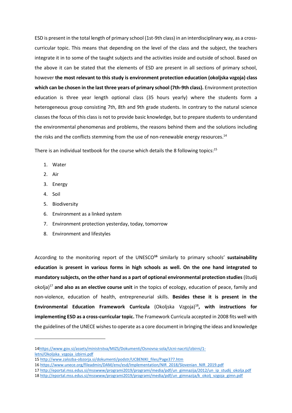ESD is present in the total length of primary school (1st-9th class) in an interdisciplinary way, as a crosscurricular topic. This means that depending on the level of the class and the subject, the teachers integrate it in to some of the taught subjects and the activities inside and outside of school. Based on the above it can be stated that the elements of ESD are present in all sections of primary school, however **the most relevant to this study is environment protection education (okoljska vzgoja) class which can be chosen in the last three years of primary school (7th-9th class).** Environment protection education is three year length optional class (35 hours yearly) where the students form a heterogeneous group consisting 7th, 8th and 9th grade students. In contrary to the natural science classes the focus of this class is not to provide basic knowledge, but to prepare students to understand the environmental phenomenas and problems, the reasons behind them and the solutions including the risks and the conflicts stemming from the use of non-renewable energy resources.<sup>14</sup>

There is an individual textbook for the course which details the 8 following topics: $15$ 

- 1. Water
- 2. Air
- 3. Energy
- 4. Soil
- 5. Biodiversity
- 6. Environment as a linked system
- 7. Environment protection yesterday, today, tomorrow
- 8. Environment and lifestyles

According to the monitoring report of the UNESCO**<sup>16</sup>** similarly to primary schools' **sustainability education is present in various forms in high schools as well. On the one hand integrated to mandatory subjects, on the other hand as a part of optional environmental protection studies** (študij okolja)<sup>17</sup> **and also as an elective course unit** in the topics of ecology, education of peace, family and non-violence, education of health, entrepreneurial skills. **Besides these it is present in the Environmental Education Framework Curricula** (Okoljska Vzgoja)<sup>18</sup>**, with instructions for implementing ESD as a cross-curricular topic.** The Framework Curricula accepted in 2008 fits well with the guidelines of the UNECE wishes to operate as a core document in bringing the ideas and knowledge

<sup>1</sup>[4https://www.gov.si/assets/ministrstva/MIZS/Dokumenti/Osnovna-sola/Ucni-nacrti/izbirni/1](https://www.gov.si/assets/ministrstva/MIZS/Dokumenti/Osnovna-sola/Ucni-nacrti/izbirni/1-letni/Okoljska_vzgoja_izbirni.pdf) [letni/Okoljska\\_vzgoja\\_izbirni.pdf](https://www.gov.si/assets/ministrstva/MIZS/Dokumenti/Osnovna-sola/Ucni-nacrti/izbirni/1-letni/Okoljska_vzgoja_izbirni.pdf)

<sup>15</sup> [http://www.zalozba-obzorja.si/dokumenti/podstr/UCBENIKI\\_files/Page377.htm](http://www.zalozba-obzorja.si/dokumenti/podstr/UCBENIKI_files/Page377.htm)

<sup>16</sup> [https://www.unece.org/fileadmin/DAM/env/esd/Implementation/NIR\\_2018/Slovenian\\_NIR\\_2019.pdf](https://www.unece.org/fileadmin/DAM/env/esd/Implementation/NIR_2018/Slovenian_NIR_2019.pdf)

<sup>17</sup> [http://eportal.mss.edus.si/msswww/programi2019/programi/media/pdf/un\\_gimnazija/2012/un\\_ip\\_studij\\_okolja.pdf](http://eportal.mss.edus.si/msswww/programi2019/programi/media/pdf/un_gimnazija/2012/un_ip_studij_okolja.pdf)

<sup>18</sup> [http://eportal.mss.edus.si/msswww/programi2019/programi/media/pdf/un\\_gimnazija/k\\_okolj\\_vzgoja\\_gimn.pdf](http://eportal.mss.edus.si/msswww/programi2019/programi/media/pdf/un_gimnazija/k_okolj_vzgoja_gimn.pdf)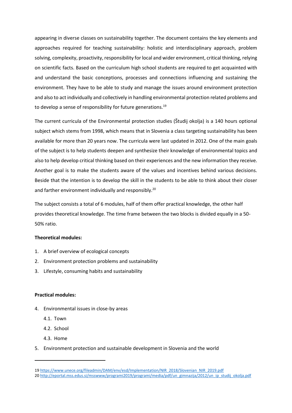appearing in diverse classes on sustainability together. The document contains the key elements and approaches required for teaching sustainability: holistic and interdisciplinary approach, problem solving, complexity, proactivity, responsibility for local and wider environment, critical thinking, relying on scientific facts. Based on the curriculum high school students are required to get acquainted with and understand the basic conceptions, processes and connections influencing and sustaining the environment. They have to be able to study and manage the issues around environment protection and also to act individually and collectively in handling environmental protection related problems and to develop a sense of responsibility for future generations.<sup>19</sup>

The current curricula of the Environmental protection studies (Študij okolja) is a 140 hours optional subject which stems from 1998, which means that in Slovenia a class targeting sustainability has been available for more than 20 years now. The curricula were last updated in 2012. One of the main goals of the subject is to help students deepen and synthesize their knowledge of environmental topics and also to help develop critical thinking based on their experiences and the new information they receive. Another goal is to make the students aware of the values and incentives behind various decisions. Beside that the intention is to develop the skill in the students to be able to think about their closer and farther environment individually and responsibly.<sup>20</sup>

The subject consists a total of 6 modules, half of them offer practical knowledge, the other half provides theoretical knowledge. The time frame between the two blocks is divided equally in a 50- 50% ratio.

#### **Theoretical modules:**

- 1. A brief overview of ecological concepts
- 2. Environment protection problems and sustainability
- 3. Lifestyle, consuming habits and sustainability

#### **Practical modules:**

- 4. Environmental issues in close-by areas
	- 4.1. Town
	- 4.2. School
	- 4.3. Home
- 5. Environment protection and sustainable development in Slovenia and the world

<sup>19</sup> [https://www.unece.org/fileadmin/DAM/env/esd/Implementation/NIR\\_2018/Slovenian\\_NIR\\_2019.pdf](https://www.unece.org/fileadmin/DAM/env/esd/Implementation/NIR_2018/Slovenian_NIR_2019.pdf) 20 [http://eportal.mss.edus.si/msswww/programi2019/programi/media/pdf/un\\_gimnazija/2012/un\\_ip\\_studij\\_okolja.pdf](http://eportal.mss.edus.si/msswww/programi2019/programi/media/pdf/un_gimnazija/2012/un_ip_studij_okolja.pdf)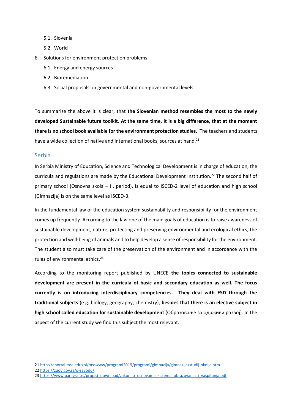- 5.1. Slovenia
- 5.2. World
- 6. Solutions for environment protection problems
	- 6.1. Energy and energy sources
	- 6.2. Bioremediation
	- 6.3. Social proposals on governmental and non-governmental levels

To summarize the above it is clear, that **the Slovenian method resembles the most to the newly developed Sustainable future toolkit. At the same time, it is a big difference, that at the moment there is no school book available for the environment protection studies.** The teachers and students have a wide collection of native and international books, sources at hand.<sup>21</sup>

#### Serbia

In Serbia Ministry of Education, Science and Technological Development is in charge of education, the curricula and regulations are made by the Educational Development Institution.<sup>22</sup> The second half of primary school (Osnovna skola – II. period), is equal to ISCED-2 level of education and high school (Gimnazija) is on the same level as ISCED-3.

In the fundamental law of the education system sustainability and responsibility for the environment comes up frequently. According to the law one of the main goals of education is to raise awareness of sustainable development, nature, protecting and preserving environmental and ecological ethics, the protection and well-being of animals and to help develop a sense of responsibility for the environment. The student also must take care of the preservation of the environment and in accordance with the rules of environmental ethics.<sup>23</sup>

According to the monitoring report published by UNECE **the topics connected to sustainable development are present in the curricula of basic and secondary education as well. The focus currently is on introducing interdisciplinary competencies. They deal with ESD through the traditional subjects** (e.g. biology, geography, chemistry), **besides that there is an elective subject in high school called education for sustainable development** (Образовање за одрживи развој). In the aspect of the current study we find this subject the most relevant.

22 <https://zuov.gov.rs/o-zavodu/>

<sup>21</sup> <http://eportal.mss.edus.si/msswww/programi2019/programi/gimnazija/gimnazija/studij-okolja.htm>

<sup>23</sup> [https://www.paragraf.rs/propisi\\_download/zakon\\_o\\_osnovama\\_sistema\\_obrazovanja\\_i\\_vaspitanja.pdf](https://www.paragraf.rs/propisi_download/zakon_o_osnovama_sistema_obrazovanja_i_vaspitanja.pdf)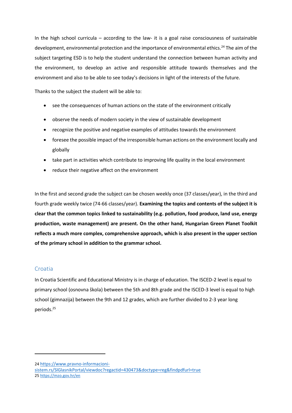In the high school curricula – according to the law- it is a goal raise consciousness of sustainable development, environmental protection and the importance of environmental ethics.<sup>24</sup> The aim of the subject targeting ESD is to help the student understand the connection between human activity and the environment, to develop an active and responsible attitude towards themselves and the environment and also to be able to see today's decisions in light of the interests of the future.

Thanks to the subject the student will be able to:

- see the consequences of human actions on the state of the environment critically
- observe the needs of modern society in the view of sustainable development
- recognize the positive and negative examples of attitudes towards the environment
- foresee the possible impact of the irresponsible human actions on the environment locally and globally
- take part in activities which contribute to improving life quality in the local environment
- reduce their negative affect on the environment

In the first and second grade the subject can be chosen weekly once (37 classes/year), in the third and fourth grade weekly twice (74-66 classes/year). **Examining the topics and contents of the subject it is clear that the common topics linked to sustainability (e.g. pollution, food produce, land use, energy production, waste management) are present. On the other hand, Hungarian Green Planet Toolkit reflects a much more complex, comprehensive approach, which is also present in the upper section of the primary school in addition to the grammar school.**

#### Croatia

In Croatia Scientific and Educational Ministry is in charge of education. The ISCED-2 level is equal to primary school (osnovna škola) between the 5th and 8th grade and the ISCED-3 level is equal to high school (gimnazija) between the 9th and 12 grades, which are further divided to 2-3 year long periods.<sup>25</sup>

<sup>24</sup> [https://www.pravno-informacioni-](https://www.pravno-informacioni-sistem.rs/SlGlasnikPortal/viewdoc?regactid=430473&doctype=reg&findpdfurl=true)

[sistem.rs/SlGlasnikPortal/viewdoc?regactid=430473&doctype=reg&findpdfurl=true](https://www.pravno-informacioni-sistem.rs/SlGlasnikPortal/viewdoc?regactid=430473&doctype=reg&findpdfurl=true) 25 <https://mzo.gov.hr/en>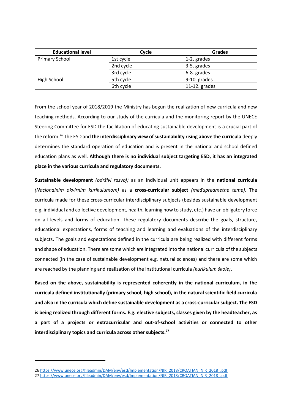| <b>Educational level</b> | Cycle     | <b>Grades</b>   |
|--------------------------|-----------|-----------------|
| <b>Primary School</b>    | 1st cycle | 1-2. grades     |
|                          | 2nd cycle | 3-5. grades     |
|                          | 3rd cycle | 6-8. grades     |
| High School              | 5th cycle | 9-10. grades    |
|                          | 6th cycle | 11-12. $grades$ |

From the school year of 2018/2019 the Ministry has begun the realization of new curricula and new teaching methods. According to our study of the curricula and the monitoring report by the UNECE Steering Committee for ESD the facilitation of educating sustainable development is a crucial part of the reform.<sup>26</sup> The ESD and **the interdisciplinary view of sustainability rising above the curricula** deeply determines the standard operation of education and is present in the national and school defined education plans as well. **Although there is no individual subject targeting ESD, it has an integrated place in the various curricula and regulatory documents.**

**Sustainable development** *(održivi razvoj)* as an individual unit appears in the **national curricula** *(Nacionalnim okvirnim kurikulumom)* as a **cross-curricular subject** *(međupredmetne teme)*. The curricula made for these cross-curricular interdisciplinary subjects (besides sustainable development e.g. individual and collective development, health, learning how to study, etc.) have an obligatory force on all levels and forms of education. These regulatory documents describe the goals, structure, educational expectations, forms of teaching and learning and evaluations of the interdisciplinary subjects. The goals and expectations defined in the curricula are being realized with different forms and shape of education. There are some which are integrated into the national curricula of the subjects connected (in the case of sustainable development e.g. natural sciences) and there are some which are reached by the planning and realization of the institutional curricula *(kurikulum škole)*.

**Based on the above, sustainability is represented coherently in the national curriculum, in the curricula defined institutionally (primary school, high school), in the natural scientific field curricula and also in the curricula which define sustainable development as a cross-curricular subject. The ESD is being realized through different forms. E.g. elective subjects, classes given by the headteacher, as a part of a projects or extracurricular and out-of-school activities or connected to other interdisciplinary topics and curricula across other subjects.<sup>27</sup>**

<sup>26</sup> [https://www.unece.org/fileadmin/DAM/env/esd/Implementation/NIR\\_2018/CROATIAN\\_NIR\\_2018\\_.pdf](https://www.unece.org/fileadmin/DAM/env/esd/Implementation/NIR_2018/CROATIAN_NIR_2018_.pdf)

<sup>27</sup> [https://www.unece.org/fileadmin/DAM/env/esd/Implementation/NIR\\_2018/CROATIAN\\_NIR\\_2018\\_.pdf](https://www.unece.org/fileadmin/DAM/env/esd/Implementation/NIR_2018/CROATIAN_NIR_2018_.pdf)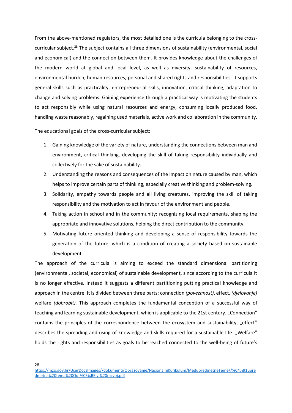From the above-mentioned regulators, the most detailed one is the curricula belonging to the crosscurricular subject.<sup>28</sup> The subject contains all three dimensions of sustainability (environmental, social and economical) and the connection between them. It provides knowledge about the challenges of the modern world at global and local level, as well as diversity, sustainability of resources, environmental burden, human resources, personal and shared rights and responsibilities. It supports general skills such as practicality, entrepreneurial skills, innovation, critical thinking, adaptation to change and solving problems. Gaining experience through a practical way is motivating the students to act responsibly while using natural resources and energy, consuming locally produced food, handling waste reasonably, regaining used materials, active work and collaboration in the community.

The educational goals of the cross-curricular subject:

- 1. Gaining knowledge of the variety of nature, understanding the connections between man and environment, critical thinking, developing the skill of taking responsibility individually and collectively for the sake of sustainability.
- 2. Understanding the reasons and consequences of the impact on nature caused by man, which helps to improve certain parts of thinking, especially creative thinking and problem-solving.
- 3. Solidarity, empathy towards people and all living creatures, improving the skill of taking responsibility and the motivation to act in favour of the environment and people.
- 4. Taking action in school and in the community: recognizing local requirements, shaping the appropriate and innovative solutions, helping the direct contribution to the community.
- 5. Motivating future oriented thinking and developing a sense of responsibility towards the generation of the future, which is a condition of creating a society based on sustainable development.

The approach of the curricula is aiming to exceed the standard dimensional partitioning (environmental, societal, economical) of sustainable development, since according to the curricula it is no longer effective. Instead it suggests a different partitioning putting practical knowledge and approach in the centre. It is divided between three parts: connection *(povezanost)*, effect, *(djelovanje)*  welfare *(dobrobit).* This approach completes the fundamental conception of a successful way of teaching and learning sustainable development, which is applicable to the 21st century. "Connection" contains the principles of the correspondence between the ecosystem and sustainability, "effect" describes the spreading and using of knowledge and skills required for a sustainable life. "Welfare" holds the rights and responsibilities as goals to be reached connected to the well-being of future's

28

[https://mzo.gov.hr/UserDocsImages//dokumenti/Obrazovanje/NacionalniKurikulum/MedupredmetneTeme//%C4%91upre](https://mzo.gov.hr/UserDocsImages/dokumenti/Obrazovanje/NacionalniKurikulum/MedupredmetneTeme/đupredmetna%20tema%20Održivi%20razvoj.pdf) [dmetna%20tema%20Odr%C5%BEivi%20razvoj.pdf](https://mzo.gov.hr/UserDocsImages/dokumenti/Obrazovanje/NacionalniKurikulum/MedupredmetneTeme/đupredmetna%20tema%20Održivi%20razvoj.pdf)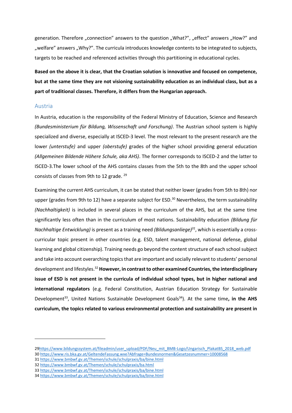generation. Therefore "connection" answers to the question "What?", "effect" answers "How?" and "welfare" answers "Why?". The curricula introduces knowledge contents to be integrated to subjects, targets to be reached and referenced activities through this partitioning in educational cycles.

**Based on the above it is clear, that the Croatian solution is innovative and focused on competence, but at the same time they are not visioning sustainability education as an individual class, but as a part of traditional classes. Therefore, it differs from the Hungarian approach.**

#### Austria

In Austria, education is the responsibility of the Federal Ministry of Education, Science and Research *(Bundesministerium für Bildung, Wissenschaft und Forschung)*. The Austrian school system is highly specialized and diverse, especially at ISCED-3 level. The most relevant to the present research are the lower *(unterstufe)* and upper *(oberstufe)* grades of the higher school providing general education *(Allgemeinen Bildende Höhere Schule, aka AHS)*. The former corresponds to ISCED-2 and the latter to ISCED-3.The lower school of the AHS contains classes from the 5th to the 8th and the upper school consists of classes from 9th to 12 grade. <sup>29</sup>

Examining the current AHS curriculum, it can be stated that neither lower (grades from 5th to 8th) nor upper (grades from 9th to 12) have a separate subject for ESD.<sup>30</sup> Nevertheless, the term sustainability *(Nachhaltigkeit)* is included in several places in the curriculum of the AHS, but at the same time significantly less often than in the curriculum of most nations. Sustainability education *(Bildung für Nachhaltige Entwicklung)* is present as a training need *(Bildungsanliege)<sup>31</sup>*, which is essentially a crosscurricular topic present in other countries (e.g. ESD, talent management, national defense, global learning and global citizenship). Training needs go beyond the content structure of each school subject and take into account overarching topics that are important and socially relevant to students' personal development and lifestyles.<sup>32</sup> **However, in contrast to other examined Countries, the interdisciplinary issue of ESD is not present in the curricula of individual school types, but in higher national and international regulators** (e.g. Federal Constitution, Austrian Education Strategy for Sustainable Development<sup>33</sup>, United Nations Sustainable Development Goals<sup>34</sup>). At the same time, in the AHS **curriculum, the topics related to various environmental protection and sustainability are present in** 

30 <https://www.ris.bka.gv.at/GeltendeFassung.wxe?Abfrage=Bundesnormen&Gesetzesnummer=10008568>

<sup>2</sup>[9https://www.bildungssystem.at/fileadmin/user\\_upload/PDF/Neu\\_mit\\_BMB-Logo/Ungarisch\\_PlakatBS\\_2018\\_web.pdf](https://www.bildungssystem.at/fileadmin/user_upload/PDF/Neu_mit_BMB-Logo/Ungarisch_PlakatBS_2018_web.pdf)

<sup>31</sup> <https://www.bmbwf.gv.at/Themen/schule/schulpraxis/ba/bine.html>

<sup>32</sup> <https://www.bmbwf.gv.at/Themen/schule/schulpraxis/ba.html>

<sup>33</sup> <https://www.bmbwf.gv.at/Themen/schule/schulpraxis/ba/bine.html>

<sup>34</sup> <https://www.bmbwf.gv.at/Themen/schule/schulpraxis/ba/bine.html>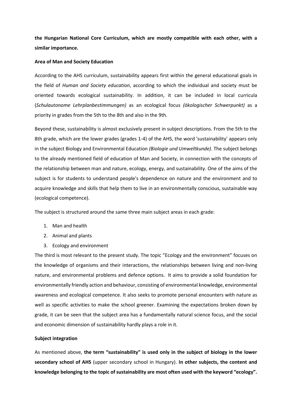**the Hungarian National Core Curriculum, which are mostly compatible with each other, with a similar importance.**

#### **Area of Man and Society Education**

According to the AHS curriculum, sustainability appears first within the general educational goals in the field of *Human and Society education*, according to which the individual and society must be oriented towards ecological sustainability. In addition, it can be included in local curricula (*Schulautonome Lehrplanbestimmungen)* as an ecological focus *(ökologischer Schwerpunkt)* as a priority in grades from the 5th to the 8th and also in the 9th.

Beyond these, sustainability is almost exclusively present in subject descriptions. From the 5th to the 8th grade, which are the lower grades (grades 1-4) of the AHS, the word 'sustainability' appears only in the subject Biology and Environmental Education *(Biologie und Umweltkunde)*. The subject belongs to the already mentioned field of education of Man and Society, in connection with the concepts of the relationship between man and nature, ecology, energy, and sustainability. One of the aims of the subject is for students to understand people's dependence on nature and the environment and to acquire knowledge and skills that help them to live in an environmentally conscious, sustainable way (ecological competence).

The subject is structured around the same three main subject areas in each grade:

- 1. Man and health
- 2. Animal and plants
- 3. Ecology and environment

The third is most relevant to the present study. The topic "Ecology and the environment" focuses on the knowledge of organisms and their interactions, the relationships between living and non-living nature, and environmental problems and defence options. It aims to provide a solid foundation for environmentally friendly action and behaviour, consisting of environmental knowledge, environmental awareness and ecological competence. It also seeks to promote personal encounters with nature as well as specific activities to make the school greener. Examining the expectations broken down by grade, it can be seen that the subject area has a fundamentally natural science focus, and the social and economic dimension of sustainability hardly plays a role in it.

#### **Subject integration**

As mentioned above, **the term "sustainability" is used only in the subject of biology in the lower secondary school of AHS** (upper secondary school in Hungary). **In other subjects, the content and knowledge belonging to the topic of sustainability are most often used with the keyword "ecology".**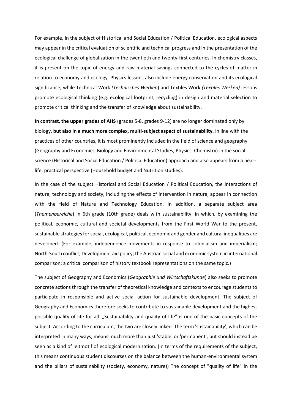For example, in the subject of Historical and Social Education / Political Education, ecological aspects may appear in the critical evaluation of scientific and technical progress and in the presentation of the ecological challenge of globalization in the twentieth and twenty-first centuries. In chemistry classes, it is present on the topic of energy and raw material savings connected to the cycles of matter in relation to economy and ecology. Physics lessons also include energy conservation and its ecological significance, while Technical Work *(Technisches Werken*) and Textiles Work *(Textiles Werken)* lessons promote ecological thinking (e.g. ecological footprint, recycling) in design and material selection to promote critical thinking and the transfer of knowledge about sustainability.

**In contrast, the upper grades of AHS** (grades 5-8, grades 9-12) are no longer dominated only by biology, **but also in a much more complex, multi-subject aspect of sustainability.** In line with the practices of other countries, it is most prominently included in the field of science and geography (Geography and Economics, Biology and Environmental Studies, Physics, Chemistry) in the social science (Historical and Social Education / Political Education) approach and also appears from a nearlife, practical perspective (Household budget and Nutrition studies).

In the case of the subject Historical and Social Education / Political Education, the interactions of nature, technology and society, including the effects of intervention in nature, appear in connection with the field of Nature and Technology Education. In addition, a separate subject area (*Themenbereiche*) in 6th grade (10th grade) deals with sustainability, in which, by examining the political, economic, cultural and societal developments from the First World War to the present, sustainable strategies for social, ecological, political, economic and gender and cultural inequalities are developed. (For example, independence movements in response to colonialism and imperialism; North-South conflict; Development aid policy; the Austrian social and economic system in international comparison; a critical comparison of history textbook representations on the same topic.)

The subject of Geography and Economics (*Geographie und Wirtschaftskunde*) also seeks to promote concrete actions through the transfer of theoretical knowledge and contexts to encourage students to participate in responsible and active social action for sustainable development. The subject of Geography and Economics therefore seeks to contribute to sustainable development and the highest possible quality of life for all. "Sustainability and quality of life" is one of the basic concepts of the subject. According to the curriculum, the two are closely linked. The term 'sustainability', which can be interpreted in many ways, means much more than just 'stable' or 'permanent', but should instead be seen as a kind of leitmotif of ecological modernization. (In terms of the requirements of the subject, this means continuous student discourses on the balance between the human-environmental system and the pillars of sustainability (society, economy, nature)) The concept of "quality of life" in the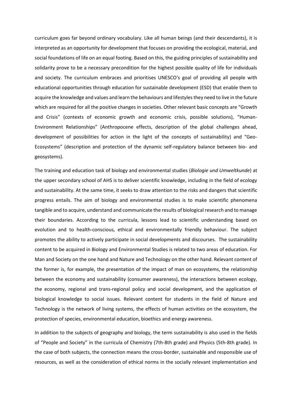curriculum goes far beyond ordinary vocabulary. Like all human beings (and their descendants), it is interpreted as an opportunity for development that focuses on providing the ecological, material, and social foundations of life on an equal footing. Based on this, the guiding principles of sustainability and solidarity prove to be a necessary precondition for the highest possible quality of life for individuals and society. The curriculum embraces and prioritises UNESCO's goal of providing all people with educational opportunities through education for sustainable development (ESD) that enable them to acquire the knowledge and values and learn the behaviours and lifestyles they need to live in the future which are required for all the positive changes in societies. Other relevant basic concepts are "Growth and Crisis" (contexts of economic growth and economic crisis, possible solutions), "Human-Environment Relationships" (Anthropocene effects, description of the global challenges ahead, development of possibilities for action in the light of the concepts of sustainability) and "Geo-Ecosystems" (description and protection of the dynamic self-regulatory balance between bio- and geosystems).

The training and education task of biology and environmental studies (*Biologie und Umweltkunde*) at the upper secondary school of AHS is to deliver scientific knowledge, including in the field of ecology and sustainability. At the same time, it seeks to draw attention to the risks and dangers that scientific progress entails. The aim of biology and environmental studies is to make scientific phenomena tangible and to acquire, understand and communicate the results of biological research and to manage their boundaries. According to the curricula, lessons lead to scientific understanding based on evolution and to health-conscious, ethical and environmentally friendly behaviour. The subject promotes the ability to actively participate in social developments and discourses. The sustainability content to be acquired in Biology and Environmental Studies is related to two areas of education. For Man and Society on the one hand and Nature and Technology on the other hand. Relevant content of the former is, for example, the presentation of the impact of man on ecosystems, the relationship between the economy and sustainability (consumer awareness), the interactions between ecology, the economy, regional and trans-regional policy and social development, and the application of biological knowledge to social issues. Relevant content for students in the field of Nature and Technology is the network of living systems, the effects of human activities on the ecosystem, the protection of species, environmental education, bioethics and energy awareness.

In addition to the subjects of geography and biology, the term sustainability is also used in the fields of "People and Society" in the curricula of Chemistry (7th-8th grade) and Physics (5th-8th grade). In the case of both subjects, the connection means the cross-border, sustainable and responsible use of resources, as well as the consideration of ethical norms in the socially relevant implementation and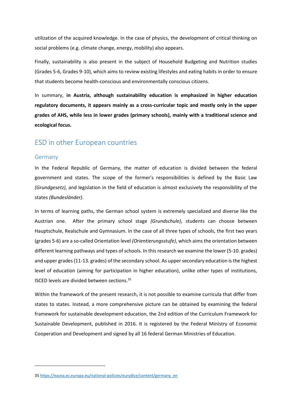utilization of the acquired knowledge. In the case of physics, the development of critical thinking on social problems (e.g. climate change, energy, mobility) also appears.

Finally, sustainability is also present in the subject of Household Budgeting and Nutrition studies (Grades 5-6, Grades 9-10), which aims to review existing lifestyles and eating habits in order to ensure that students become health-conscious and environmentally conscious citizens.

In summary, **in Austria, although sustainability education is emphasized in higher education regulatory documents, it appears mainly as a cross-curricular topic and mostly only in the upper grades of AHS, while less in lower grades (primary schools), mainly with a traditional science and ecological focus.**

# ESD in other European countries

#### Germany

In the Federal Republic of Germany, the matter of education is divided between the federal government and states. The scope of the former's responsibilities is defined by the Basic Law *(Grundgesetz)*, and legislation in the field of education is almost exclusively the responsibility of the states *(Bundesländer)*.

In terms of learning paths, the German school system is extremely specialized and diverse like the Austrian one. After the primary school stage *(Grundschule)*, students can choose between Hauptschule, Realschule and Gymnasium. In the case of all three types of schools, the first two years (grades 5-6) are a so-called Orientation level *(Orientierungsstufe)*, which aims the orientation between different learning pathways and types of schools. In this research we examine the lower (5-10. grades) and upper grades (11-13. grades) of the secondary school. As upper secondary education is the highest level of education (aiming for participation in higher education), unlike other types of institutions, ISCED levels are divided between sections.<sup>35</sup>

Within the framework of the present research, it is not possible to examine curricula that differ from states to states. Instead, a more comprehensive picture can be obtained by examining the federal framework for sustainable development education, the 2nd edition of the Curriculum Framework for Sustainable Development, published in 2016. It is registered by the Federal Ministry of Economic Cooperation and Development and signed by all 16 federal German Ministries of Education.

<sup>35</sup> [https://eacea.ec.europa.eu/national-policies/eurydice/content/germany\\_en](https://eacea.ec.europa.eu/national-policies/eurydice/content/germany_en)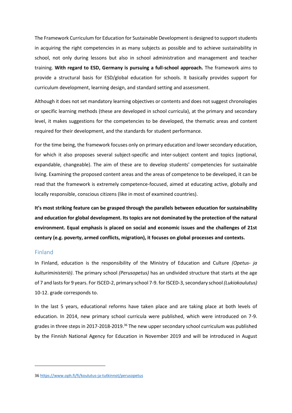The Framework Curriculum for Education for Sustainable Development is designed to support students in acquiring the right competencies in as many subjects as possible and to achieve sustainability in school, not only during lessons but also in school administration and management and teacher training. **With regard to ESD, Germany is pursuing a full-school approach.** The framework aims to provide a structural basis for ESD/global education for schools. It basically provides support for curriculum development, learning design, and standard setting and assessment.

Although it does not set mandatory learning objectives or contents and does not suggest chronologies or specific learning methods (these are developed in school curricula), at the primary and secondary level, it makes suggestions for the competencies to be developed, the thematic areas and content required for their development, and the standards for student performance.

For the time being, the framework focuses only on primary education and lower secondary education, for which it also proposes several subject-specific and inter-subject content and topics (optional, expandable, changeable). The aim of these are to develop students' competencies for sustainable living. Examining the proposed content areas and the areas of competence to be developed, it can be read that the framework is extremely competence-focused, aimed at educating active, globally and locally responsible, conscious citizens (like in most of examined countries).

**It's most striking feature can be grasped through the parallels between education for sustainability and education for global development. Its topics are not dominated by the protection of the natural environment. Equal emphasis is placed on social and economic issues and the challenges of 21st century (e.g. poverty, armed conflicts, migration), it focuses on global processes and contexts.**

#### Finland

In Finland, education is the responsibility of the Ministry of Education and Culture *(Opetus- ja kulturiministeriö)*. The primary school *(Perusopetus)* has an undivided structure that starts at the age of 7 and lasts for 9 years. For ISCED-2, primary school 7-9. for ISCED-3, secondary school *(Lukiokoulutus)* 10-12. grade corresponds to.

In the last 5 years, educational reforms have taken place and are taking place at both levels of education. In 2014, new primary school curricula were published, which were introduced on 7-9. grades in three steps in 2017-2018-2019.<sup>36</sup> The new upper secondary school curriculum was published by the Finnish National Agency for Education in November 2019 and will be introduced in August

<sup>36</sup> <https://www.oph.fi/fi/koulutus-ja-tutkinnot/perusopetus>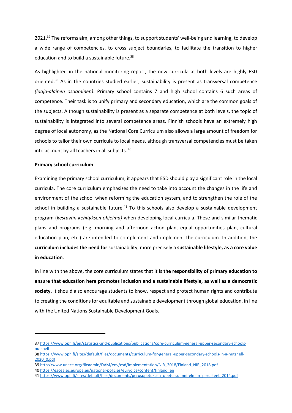2021.<sup>37</sup> The reforms aim, among other things, to support students' well-being and learning, to develop a wide range of competencies, to cross subject boundaries, to facilitate the transition to higher education and to build a sustainable future.<sup>38</sup>

As highlighted in the national monitoring report, the new curricula at both levels are highly ESD oriented.<sup>39</sup> As in the countries studied earlier, sustainability is present as transversal competence *(laaja-alainen osaaminen)*. Primary school contains 7 and high school contains 6 such areas of competence. Their task is to unify primary and secondary education, which are the common goals of the subjects. Although sustainability is present as a separate competence at both levels, the topic of sustainability is integrated into several competence areas. Finnish schools have an extremely high degree of local autonomy, as the National Core Curriculum also allows a large amount of freedom for schools to tailor their own curricula to local needs, although transversal competencies must be taken into account by all teachers in all subjects. 40

#### **Primary school curriculum**

Examining the primary school curriculum, it appears that ESD should play a significant role in the local curricula. The core curriculum emphasizes the need to take into account the changes in the life and environment of the school when reforming the education system, and to strengthen the role of the school in building a sustainable future.<sup>41</sup> To this schools also develop a sustainable development program (*kestävän kehityksen ohjelma)* when developing local curricula. These and similar thematic plans and programs (e.g. morning and afternoon action plan, equal opportunities plan, cultural education plan, etc.) are intended to complement and implement the curriculum. In addition, the **curriculum includes the need for** sustainability, more precisely a **sustainable lifestyle, as a core value in education**.

In line with the above, the core curriculum states that it is **the responsibility of primary education to ensure that education here promotes inclusion and a sustainable lifestyle, as well as a democratic society.** It should also encourage students to know, respect and protect human rights and contribute to creating the conditions for equitable and sustainable development through global education, in line with the United Nations Sustainable Development Goals.

<sup>37</sup> [https://www.oph.fi/en/statistics-and-publications/publications/core-curriculum-general-upper-secondary-schools](https://www.oph.fi/en/statistics-and-publications/publications/core-curriculum-general-upper-secondary-schools-nutshell)[nutshell](https://www.oph.fi/en/statistics-and-publications/publications/core-curriculum-general-upper-secondary-schools-nutshell)

<sup>38</sup> [https://www.oph.fi/sites/default/files/documents/curriculum-for-general-upper-secondary-schools-in-a-nutshell-](https://www.oph.fi/sites/default/files/documents/curriculum-for-general-upper-secondary-schools-in-a-nutshell-2020_0.pdf)[2020\\_0.pdf](https://www.oph.fi/sites/default/files/documents/curriculum-for-general-upper-secondary-schools-in-a-nutshell-2020_0.pdf)

<sup>39</sup> [http://www.unece.org/fileadmin/DAM/env/esd/Implementation/NIR\\_2018/Finland\\_NIR\\_2018.pdf](http://www.unece.org/fileadmin/DAM/env/esd/Implementation/NIR_2018/Finland_NIR_2018.pdf)

<sup>40</sup> [https://eacea.ec.europa.eu/national-policies/eurydice/content/finland\\_en](https://eacea.ec.europa.eu/national-policies/eurydice/content/finland_en)

<sup>41</sup> [https://www.oph.fi/sites/default/files/documents/perusopetuksen\\_opetussuunnitelman\\_perusteet\\_2014.pdf](https://www.oph.fi/sites/default/files/documents/perusopetuksen_opetussuunnitelman_perusteet_2014.pdf)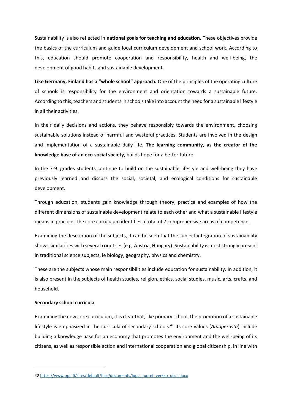Sustainability is also reflected in **national goals for teaching and education**. These objectives provide the basics of the curriculum and guide local curriculum development and school work. According to this, education should promote cooperation and responsibility, health and well-being, the development of good habits and sustainable development.

**Like Germany, Finland has a "whole school" approach.** One of the principles of the operating culture of schools is responsibility for the environment and orientation towards a sustainable future. According to this, teachers and students in schools take into account the need for a sustainable lifestyle in all their activities.

In their daily decisions and actions, they behave responsibly towards the environment, choosing sustainable solutions instead of harmful and wasteful practices. Students are involved in the design and implementation of a sustainable daily life. **The learning community, as the creator of the knowledge base of an eco-social society**, builds hope for a better future.

In the 7-9. grades students continue to build on the sustainable lifestyle and well-being they have previously learned and discuss the social, societal, and ecological conditions for sustainable development.

Through education, students gain knowledge through theory, practice and examples of how the different dimensions of sustainable development relate to each other and what a sustainable lifestyle means in practice. The core curriculum identifies a total of 7 comprehensive areas of competence.

Examining the description of the subjects, it can be seen that the subject integration of sustainability shows similarities with several countries (e.g. Austria, Hungary). Sustainability is most strongly present in traditional science subjects, ie biology, geography, physics and chemistry.

These are the subjects whose main responsibilities include education for sustainability. In addition, it is also present in the subjects of health studies, religion, ethics, social studies, music, arts, crafts, and household.

#### **Secondary school curricula**

Examining the new core curriculum, it is clear that, like primary school, the promotion of a sustainable lifestyle is emphasized in the curricula of secondary schools.<sup>42</sup> Its core values (*Arvoperusta*) include building a knowledge base for an economy that promotes the environment and the well-being of its citizens, as well as responsible action and international cooperation and global citizenship, in line with

<sup>42</sup> [https://www.oph.fi/sites/default/files/documents/lops\\_nuoret\\_verkko\\_docs.docx](https://www.oph.fi/sites/default/files/documents/lops_nuoret_verkko_docs.docx)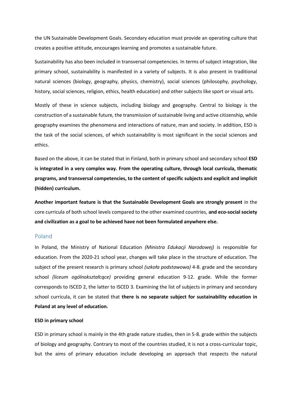the UN Sustainable Development Goals. Secondary education must provide an operating culture that creates a positive attitude, encourages learning and promotes a sustainable future.

Sustainability has also been included in transversal competencies. In terms of subject integration, like primary school, sustainability is manifested in a variety of subjects. It is also present in traditional natural sciences (biology, geography, physics, chemistry), social sciences (philosophy, psychology, history, social sciences, religion, ethics, health education) and other subjects like sport or visual arts.

Mostly of these in science subjects, including biology and geography. Central to biology is the construction of a sustainable future, the transmission of sustainable living and active citizenship, while geography examines the phenomena and interactions of nature, man and society. In addition, ESD is the task of the social sciences, of which sustainability is most significant in the social sciences and ethics.

Based on the above, it can be stated that in Finland, both in primary school and secondary school **ESD is integrated in a very complex way. From the operating culture, through local curricula, thematic programs, and transversal competencies, to the content of specific subjects and explicit and implicit (hidden) curriculum.**

**Another important feature is that the Sustainable Development Goals are strongly present** in the core curricula of both school levels compared to the other examined countries, **and eco-social society and civilization as a goal to be achieved have not been formulated anywhere else.**

#### Poland

In Poland, the Ministry of National Education *(Ministra Edukacji Narodowej)* is responsible for education. From the 2020-21 school year, changes will take place in the structure of education. The subject of the present research is primary school *(szkoła podstawowa)* 4-8. grade and the secondary school *(liceum ogólnokształcące)* providing general education 9-12. grade. While the former corresponds to ISCED 2, the latter to ISCED 3. Examining the list of subjects in primary and secondary school curricula, it can be stated that **there is no separate subject for sustainability education in Poland at any level of education.**

#### **ESD in primary school**

ESD in primary school is mainly in the 4th grade nature studies, then in 5-8. grade within the subjects of biology and geography. Contrary to most of the countries studied, it is not a cross-curricular topic, but the aims of primary education include developing an approach that respects the natural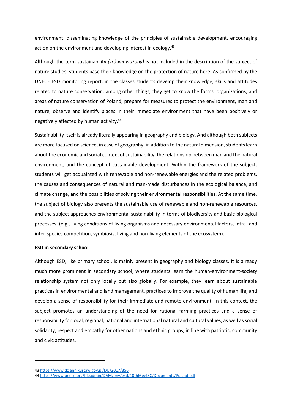environment, disseminating knowledge of the principles of sustainable development, encouraging action on the environment and developing interest in ecology.<sup>43</sup>

Although the term sustainability *(zrównoważony)* is not included in the description of the subject of nature studies, students base their knowledge on the protection of nature here. As confirmed by the UNECE ESD monitoring report, in the classes students develop their knowledge, skills and attitudes related to nature conservation: among other things, they get to know the forms, organizations, and areas of nature conservation of Poland, prepare for measures to protect the environment, man and nature, observe and identify places in their immediate environment that have been positively or negatively affected by human activity.<sup>44</sup>

Sustainability itself is already literally appearing in geography and biology. And although both subjects are more focused on science, in case of geography, in addition to the natural dimension, students learn about the economic and social context of sustainability, the relationship between man and the natural environment, and the concept of sustainable development. Within the framework of the subject, students will get acquainted with renewable and non-renewable energies and the related problems, the causes and consequences of natural and man-made disturbances in the ecological balance, and climate change, and the possibilities of solving their environmental responsibilities. At the same time, the subject of biology also presents the sustainable use of renewable and non-renewable resources, and the subject approaches environmental sustainability in terms of biodiversity and basic biological processes. (e.g., living conditions of living organisms and necessary environmental factors, intra- and inter-species competition, symbiosis, living and non-living elements of the ecosystem).

#### **ESD in secondary school**

Although ESD, like primary school, is mainly present in geography and biology classes, it is already much more prominent in secondary school, where students learn the human-environment-society relationship system not only locally but also globally. For example, they learn about sustainable practices in environmental and land management, practices to improve the quality of human life, and develop a sense of responsibility for their immediate and remote environment. In this context, the subject promotes an understanding of the need for rational farming practices and a sense of responsibility for local, regional, national and international natural and cultural values, as well as social solidarity, respect and empathy for other nations and ethnic groups, in line with patriotic, community and civic attitudes.

<sup>43</sup> <https://www.dziennikustaw.gov.pl/DU/2017/356>

<sup>44</sup> <https://www.unece.org/fileadmin/DAM/env/esd/10thMeetSC/Documents/Poland.pdf>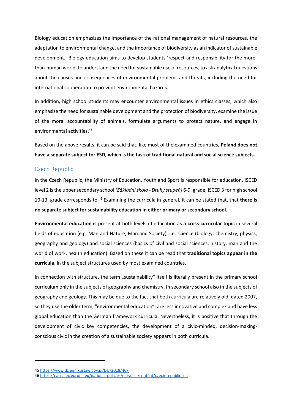Biology education emphasizes the importance of the rational management of natural resources, the adaptation to environmental change, and the importance of biodiversity as an indicator of sustainable development. Biology education aims to develop students 'respect and responsibility for the morethan-human world, to understand the need for sustainable use of resources, to ask analytical questions about the causes and consequences of environmental problems and threats, including the need for international cooperation to prevent environmental hazards.

In addition, high school students may encounter environmental issues in ethics classes, which also emphasize the need for sustainable development and the protection of biodiversity, examine the issue of the moral accountability of animals, formulate arguments to protect nature, and engage in environmental activities.<sup>45</sup>

Based on the above results, it can be said that, like most of the examined countries, **Poland does not have a separate subject for ESD, which is the task of traditional natural and social science subjects.**

## Czech Republic

In the Czech Republic, the Ministry of Education, Youth and Sport is responsible for education. ISCED level 2 is the upper secondary school *(Základní škola - Druhý stupeň)* 6-9. grade, ISCED 3 for high school 10-13. grade corresponds to.<sup>46</sup> Examining the curricula in general, it can be stated that, that **there is no separate subject for sustainability education in either primary or secondary school.**

**Environmental education is** present at both levels of education as **a cross-curricular topic** in several fields of education (e.g. Man and Nature, Man and Society), i.e. science (biology, chemistry, physics, geography and geology) and social sciences (basics of civil and social sciences, history, man and the world of work, health education). Based on these it can be read that **traditional topics appear in the curricula**, in the subject structures used by most examined countries.

In connection with structure, the term "sustainability" itself is literally present in the primary school curriculum only in the subjects of geography and chemistry. In secondary school also in the subjects of geography and geology. This may be due to the fact that both curricula are relatively old, dated 2007, so they use the older term, "environmental education", are less innovative and complex and have less global education than the German framework curricula. Nevertheless, it is positive that through the development of civic key competencies, the development of a civic-minded, decision-makingconscious civic in the creation of a sustainable society appears in both curricula.

<sup>45</sup> <https://www.dziennikustaw.gov.pl/DU/2018/467>

<sup>46</sup> [https://eacea.ec.europa.eu/national-policies/eurydice/content/czech-republic\\_en](https://eacea.ec.europa.eu/national-policies/eurydice/content/czech-republic_en)